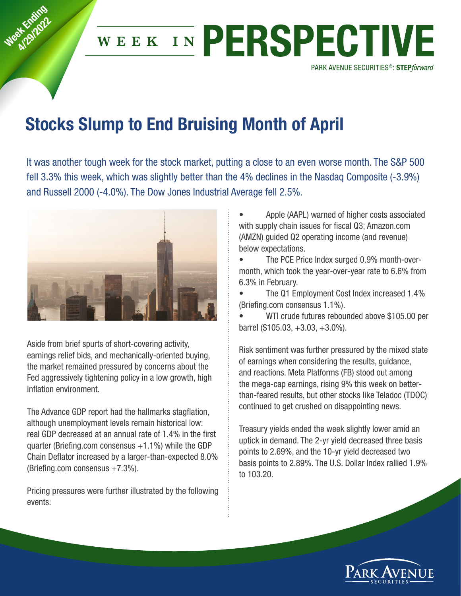

## Stocks Slump to End Bruising Month of April

It was another tough week for the stock market, putting a close to an even worse month. The S&P 500 fell 3.3% this week, which was slightly better than the 4% declines in the Nasdaq Composite (‐3.9%) and Russell 2000 (‐4.0%). The Dow Jones Industrial Average fell 2.5%.



Week Knding at England

> Aside from brief spurts of short‐covering activity, earnings relief bids, and mechanically-oriented buying, the market remained pressured by concerns about the Fed aggressively tightening policy in a low growth, high inflation environment.

The Advance GDP report had the hallmarks stagflation, although unemployment levels remain historical low: real GDP decreased at an annual rate of 1.4% in the first quarter (Briefing.com consensus  $+1.1\%$ ) while the GDP Chain Deflator increased by a larger‐than‐expected 8.0% (Briefing.com consensus +7.3%).

Pricing pressures were further illustrated by the following events:

• Apple (AAPL) warned of higher costs associated with supply chain issues for fiscal Q3; Amazon.com (AMZN) guided Q2 operating income (and revenue) below expectations.

• The PCE Price Index surged 0.9% month‐over‐ month, which took the year‐over‐year rate to 6.6% from 6.3% in February.

• The Q1 Employment Cost Index increased 1.4% (Briefing.com consensus 1.1%).

WTI crude futures rebounded above \$105.00 per barrel (\$105.03, +3.03, +3.0%).

Risk sentiment was further pressured by the mixed state of earnings when considering the results, guidance, and reactions. Meta Platforms (FB) stood out among the mega‐cap earnings, rising 9% this week on better‐ than‐feared results, but other stocks like Teladoc (TDOC) continued to get crushed on disappointing news.

Treasury yields ended the week slightly lower amid an uptick in demand. The 2‐yr yield decreased three basis points to 2.69%, and the 10‐yr yield decreased two basis points to 2.89%. The U.S. Dollar Index rallied 1.9% to 103.20.